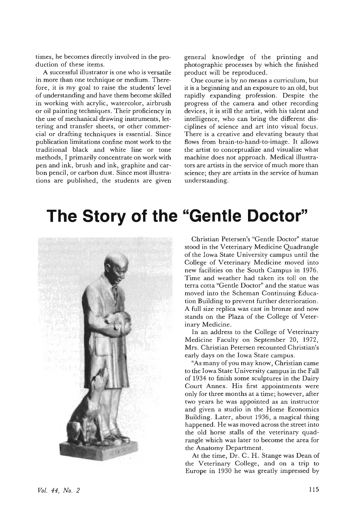times, he becomes directly involved in the production of these items.

A successful illustrator is one who is versatile in more than one technique or medium. Therefore, it is my goal to raise the students' level of understanding and have them become skilled in working with acrylic, watercolor, airbrush or oil painting techniques. Their proficiency in the use of mechanical drawing instruments, lettering and transfer sheets, or other commercial or drafting techniques is essential. Since publication limitations confine most work to the traditional black and white line or tone methods, I primarily concentrate on work with pen and ink, brush and ink, graphite and carbon pencil, or carbon dust. Since most illustrations are published, the students are given

general knowledge of the printing and photographic processes by which the finished product will be reproduced.

One course is by no means a curriculum, but it is a beginning and an exposure to an old, but rapidly expanding profession. Despite the progress of the camera and other recording devices, it is still the artist, with his talent and intelligence, who can bring the different disciplines of science and art into visual focus. There is a creative and elevating beauty that flows from brain-to-hand-to-image. **It** allows the artist to conceptualize and visualize what machine does not approach. Medical illustrators are artists in the service of much more than science; they are artists in the service of human understanding.

## **The Story of the "Gentle Doctor"**



Christian Petersen's "Gentle Doctor" statue stood in the Veterinary Medicine Quadrangle of the Iowa State University campus until the College of Veterinary Medicine moved into new facilities on the South Campus in 1976. Time and weather had taken its toll on the terra cotta "Gentle Doctor" and the statue was moved into the Scheman Continuing Education Building to prevent further deterioration. A full size replica was cast in bronze and now stands on the Plaza of the College of Veterinary Medicine.

In an address to the College of Veterinary Medicine Faculty on September 20, 1972, Mrs. Christian Petersen recounted Christian's early days on the Iowa State campus.

"As many of you may know, Christian came to the Iowa State University campus in the Fall of 1934 to finish some sculptures in the Dairy Court Annex. His first appointments were only for three months at a time; however, after two years he was appointed as an instructor and given a studio in the Home Economics Building. Later, about 1936, a magical thing happened. He was moved across the street into the old horse stalls of the veterinary quadrangle which was later to become the area for the Anatomy Department.

At the time, Dr. C. H. Stange was Dean of the Veterinary College, and on a trip to Europe in 1930 he was greatly impressed by